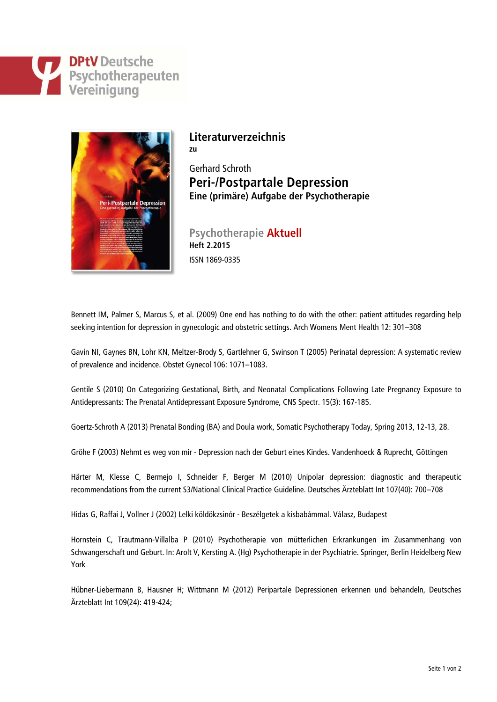## **DPtV** Deutsche **Psychotherapeuten**<br>Vereinigung



## **Literaturverzeichnis**

**zu**

Gerhard Schroth **Peri-/Postpartale Depression Eine (primäre) Aufgabe der Psychotherapie**

**Psychotherapie Aktuell Heft 2.2015** ISSN 1869-0335

Bennett IM, Palmer S, Marcus S, et al. (2009) One end has nothing to do with the other: patient attitudes regarding help seeking intention for depression in gynecologic and obstetric settings. Arch Womens Ment Health 12: 301–308

Gavin NI, Gaynes BN, Lohr KN, Meltzer-Brody S, Gartlehner G, Swinson T (2005) Perinatal depression: A systematic review of prevalence and incidence. Obstet Gynecol 106: 1071–1083.

Gentile S (2010) On Categorizing Gestational, Birth, and Neonatal Complications Following Late Pregnancy Exposure to Antidepressants: The Prenatal Antidepressant Exposure Syndrome, CNS Spectr. 15(3): 167-185.

Goertz-Schroth A (2013) Prenatal Bonding (BA) and Doula work, Somatic Psychotherapy Today, Spring 2013, 12-13, 28.

Gröhe F (2003) Nehmt es weg von mir - Depression nach der Geburt eines Kindes. Vandenhoeck & Ruprecht, Göttingen

Härter M, Klesse C, Bermejo I, Schneider F, Berger M (2010) Unipolar depression: diagnostic and therapeutic recommendations from the current S3/National Clinical Practice Guideline. Deutsches Ärzteblatt Int 107(40): 700–708

Hidas G, Raffai J, Vollner J (2002) Lelki köldökzsinór - Beszélgetek a kisbabámmal. Válasz, Budapest

Hornstein C, Trautmann-Villalba P (2010) Psychotherapie von mütterlichen Erkrankungen im Zusammenhang von Schwangerschaft und Geburt. In: Arolt V, Kersting A. (Hg) Psychotherapie in der Psychiatrie. Springer, Berlin Heidelberg New York

[Hübner-Liebermann B, H](http://www.aerzteblatt.de/archiv/treffer?archivAutor=H%FCbner%2DLiebermann%2C+Bettina)ausner H; Wittmann M (2012) Peripartale Depressionen erkennen und behandeln, Deutsches Ärzteblatt Int 109(24): 419-424;